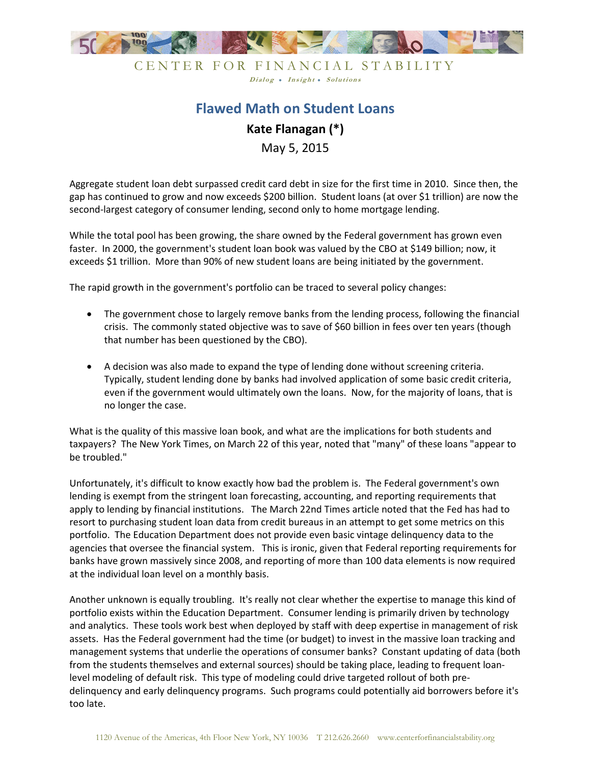

CENTER FOR FINANCIAL STABILITY Dialog . Insight . Solutions

## **Flawed Math on Student Loans Kate Flanagan (\*)**  May 5, 2015

Aggregate student loan debt surpassed credit card debt in size for the first time in 2010. Since then, the gap has continued to grow and now exceeds \$200 billion. Student loans (at over \$1 trillion) are now the second-largest category of consumer lending, second only to home mortgage lending.

While the total pool has been growing, the share owned by the Federal government has grown even faster. In 2000, the government's student loan book was valued by the CBO at \$149 billion; now, it exceeds \$1 trillion. More than 90% of new student loans are being initiated by the government.

The rapid growth in the government's portfolio can be traced to several policy changes:

- The government chose to largely remove banks from the lending process, following the financial crisis. The commonly stated objective was to save of \$60 billion in fees over ten years (though that number has been questioned by the CBO).
- A decision was also made to expand the type of lending done without screening criteria. Typically, student lending done by banks had involved application of some basic credit criteria, even if the government would ultimately own the loans. Now, for the majority of loans, that is no longer the case.

What is the quality of this massive loan book, and what are the implications for both students and taxpayers? The New York Times, on March 22 of this year, noted that "many" of these loans "appear to be troubled."

Unfortunately, it's difficult to know exactly how bad the problem is. The Federal government's own lending is exempt from the stringent loan forecasting, accounting, and reporting requirements that apply to lending by financial institutions. The March 22nd Times article noted that the Fed has had to resort to purchasing student loan data from credit bureaus in an attempt to get some metrics on this portfolio. The Education Department does not provide even basic vintage delinquency data to the agencies that oversee the financial system. This is ironic, given that Federal reporting requirements for banks have grown massively since 2008, and reporting of more than 100 data elements is now required at the individual loan level on a monthly basis.

Another unknown is equally troubling. It's really not clear whether the expertise to manage this kind of portfolio exists within the Education Department. Consumer lending is primarily driven by technology and analytics. These tools work best when deployed by staff with deep expertise in management of risk assets. Has the Federal government had the time (or budget) to invest in the massive loan tracking and management systems that underlie the operations of consumer banks? Constant updating of data (both from the students themselves and external sources) should be taking place, leading to frequent loanlevel modeling of default risk. This type of modeling could drive targeted rollout of both predelinquency and early delinquency programs. Such programs could potentially aid borrowers before it's too late.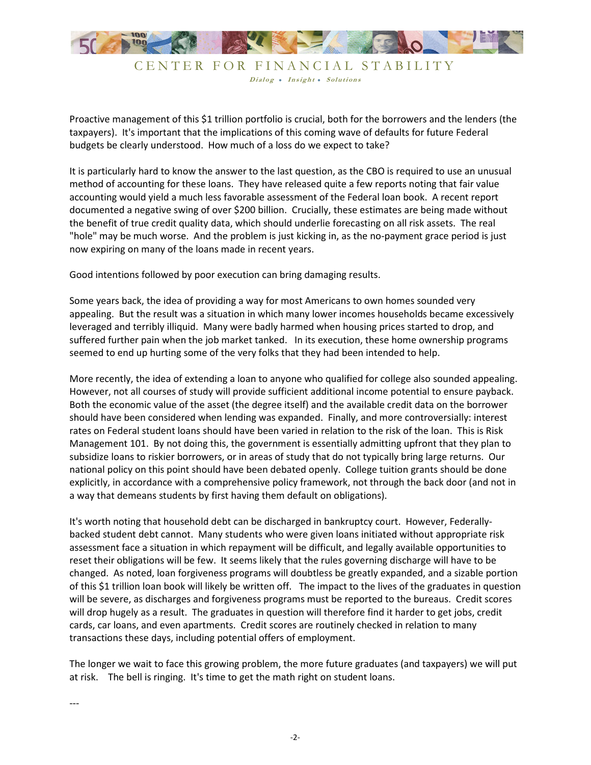

Dialog . Insight . Solutions

Proactive management of this \$1 trillion portfolio is crucial, both for the borrowers and the lenders (the taxpayers). It's important that the implications of this coming wave of defaults for future Federal budgets be clearly understood. How much of a loss do we expect to take?

It is particularly hard to know the answer to the last question, as the CBO is required to use an unusual method of accounting for these loans. They have released quite a few reports noting that fair value accounting would yield a much less favorable assessment of the Federal loan book. A recent report documented a negative swing of over \$200 billion. Crucially, these estimates are being made without the benefit of true credit quality data, which should underlie forecasting on all risk assets. The real "hole" may be much worse. And the problem is just kicking in, as the no-payment grace period is just now expiring on many of the loans made in recent years.

Good intentions followed by poor execution can bring damaging results.

Some years back, the idea of providing a way for most Americans to own homes sounded very appealing. But the result was a situation in which many lower incomes households became excessively leveraged and terribly illiquid. Many were badly harmed when housing prices started to drop, and suffered further pain when the job market tanked. In its execution, these home ownership programs seemed to end up hurting some of the very folks that they had been intended to help.

More recently, the idea of extending a loan to anyone who qualified for college also sounded appealing. However, not all courses of study will provide sufficient additional income potential to ensure payback. Both the economic value of the asset (the degree itself) and the available credit data on the borrower should have been considered when lending was expanded. Finally, and more controversially: interest rates on Federal student loans should have been varied in relation to the risk of the loan. This is Risk Management 101. By not doing this, the government is essentially admitting upfront that they plan to subsidize loans to riskier borrowers, or in areas of study that do not typically bring large returns. Our national policy on this point should have been debated openly. College tuition grants should be done explicitly, in accordance with a comprehensive policy framework, not through the back door (and not in a way that demeans students by first having them default on obligations).

It's worth noting that household debt can be discharged in bankruptcy court. However, Federallybacked student debt cannot. Many students who were given loans initiated without appropriate risk assessment face a situation in which repayment will be difficult, and legally available opportunities to reset their obligations will be few. It seems likely that the rules governing discharge will have to be changed. As noted, loan forgiveness programs will doubtless be greatly expanded, and a sizable portion of this \$1 trillion loan book will likely be written off. The impact to the lives of the graduates in question will be severe, as discharges and forgiveness programs must be reported to the bureaus. Credit scores will drop hugely as a result. The graduates in question will therefore find it harder to get jobs, credit cards, car loans, and even apartments. Credit scores are routinely checked in relation to many transactions these days, including potential offers of employment.

The longer we wait to face this growing problem, the more future graduates (and taxpayers) we will put at risk. The bell is ringing. It's time to get the math right on student loans.